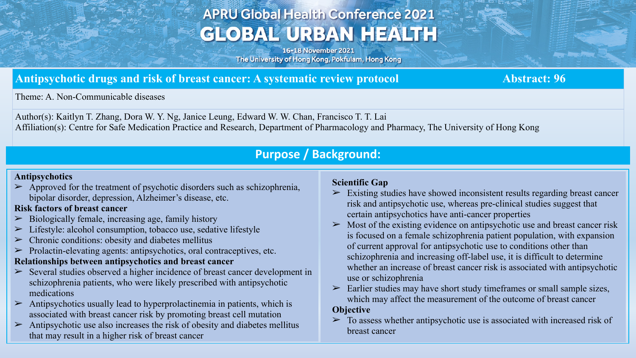# **APRU Global Health Conference 2021 GLOBAL URBAN HEALTH**

16-18 November 2021 The University of Hong Kong, Pokfulam, Hong Kong

## Antipsychotic drugs and risk of breast cancer: A systematic review protocol **Abstract: 96** Abstract: 96

Theme: A. Non-Communicable diseases

Author(s): Kaitlyn T. Zhang, Dora W. Y. Ng, Janice Leung, Edward W. W. Chan, Francisco T. T. Lai Affiliation(s): Centre for Safe Medication Practice and Research, Department of Pharmacology and Pharmacy, The University of Hong Kong

# **Purpose / Background:**

### **Antipsychotics**

 $\triangleright$  Approved for the treatment of psychotic disorders such as schizophrenia, bipolar disorder, depression, Alzheimer's disease, etc.

## **Risk factors of breast cancer**

- $\triangleright$  Biologically female, increasing age, family history
- Lifestyle: alcohol consumption, tobacco use, sedative lifestyle
- $\triangleright$  Chronic conditions: obesity and diabetes mellitus
- $\triangleright$  Prolactin-elevating agents: antipsychotics, oral contraceptives, etc.

### **Relationships between antipsychotics and breast cancer**

- $\geq$  Several studies observed a higher incidence of breast cancer development in schizophrenia patients, who were likely prescribed with antipsychotic medications
- $\triangleright$  Antipsychotics usually lead to hyperprolactinemia in patients, which is associated with breast cancer risk by promoting breast cell mutation
- $\triangleright$  Antipsychotic use also increases the risk of obesity and diabetes mellitus that may result in a higher risk of breast cancer

### **Scientific Gap**

- $\triangleright$  Existing studies have showed inconsistent results regarding breast cancer risk and antipsychotic use, whereas pre-clinical studies suggest that certain antipsychotics have anti-cancer properties
- Most of the existing evidence on antipsychotic use and breast cancer risk is focused on a female schizophrenia patient population, with expansion of current approval for antipsychotic use to conditions other than schizophrenia and increasing off-label use, it is difficult to determine whether an increase of breast cancer risk is associated with antipsychotic use or schizophrenia

 $\geq$  Earlier studies may have short study time frames or small sample sizes, which may affect the measurement of the outcome of breast cancer

### **Objective**

 $\geq$  To assess whether antipsychotic use is associated with increased risk of breast cancer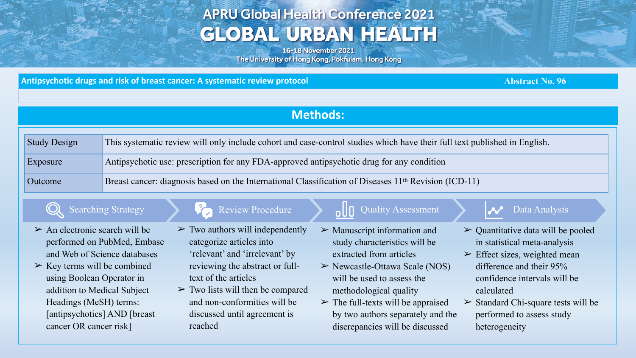# **APRU Global Health Conference 2021 GLOBAL URBAN HEALTH**

16-18 November 2021 The University of Hong Kong, Pokfulam, Hong Kong

Antipsychotic drugs and risk of breast cancer: A systematic review protocol **Abstract No. 96** Abstract No. 96

# **Methods:**

| <b>Study Design</b> | This systematic review will only include cohort and case-control studies which have their full text published in English. |
|---------------------|---------------------------------------------------------------------------------------------------------------------------|
| Exposure            | Antipsychotic use: prescription for any FDA-approved antipsychotic drug for any condition                                 |
| Outcome             | Breast cancer: diagnosis based on the International Classification of Diseases 11 <sup>th</sup> Revision (ICD-11)         |

- $\triangleright$  An electronic search will be performed on PubMed, Embase and Web of Science databases
- $\triangleright$  Key terms will be combined using Boolean Operator in addition to Medical Subject Headings (MeSH) terms: [antipsychotics] AND [breast cancer OR cancer risk]

## $\mathbb{Q}$  Searching Strategy  $\mathcal{P}$  Review Procedure  $\mathbb{Q}$  Quality Assessment  $\mathbb{Q}$  Data Analysis

- $\triangleright$  Two authors will independently categorize articles into 'relevant' and 'irrelevant' by reviewing the abstract or fulltext of the articles
- $\triangleright$  Two lists will then be compared and non-conformities will be discussed until agreement is reached

- $\triangleright$  Manuscript information and study characteristics will be extracted from articles
- $\triangleright$  Newcastle-Ottawa Scale (NOS) will be used to assess the methodological quality
- $\triangleright$  The full-texts will be appraised by two authors separately and the discrepancies will be discussed

- $\triangleright$  Quantitative data will be pooled in statistical meta-analysis
- $\triangleright$  Effect sizes, weighted mean difference and their 95% confidence intervals will be calculated
- $\triangleright$  Standard Chi-square tests will be performed to assess study heterogeneity